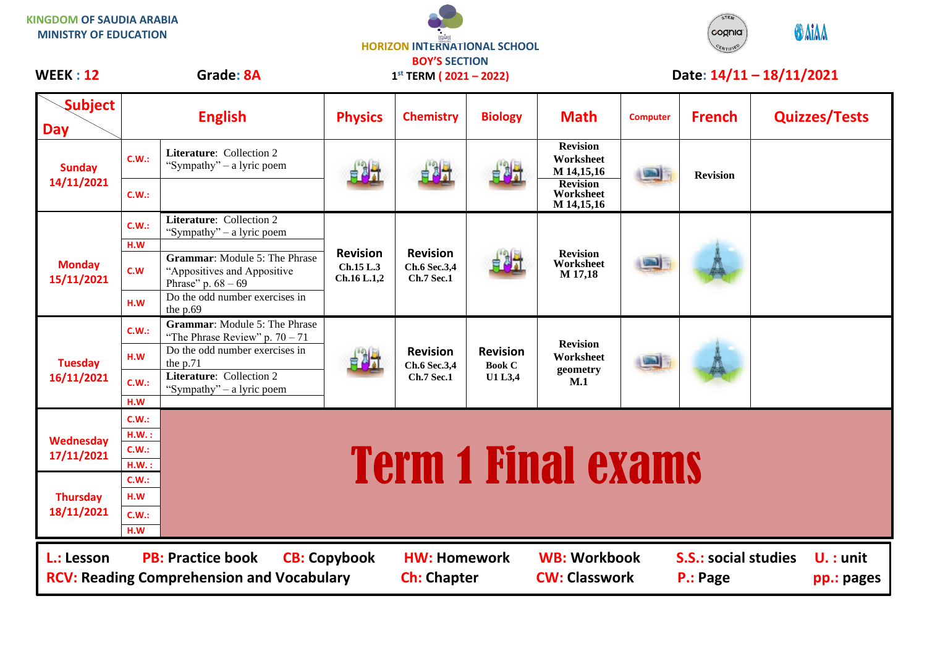**KINGDOM OF SAUDIA ARABIA MINISTRY OF EDUCATION**





| <b>Subject</b>                                                                                                                                                                                                                                                                        | <b>English</b> |                                                                                             | <b>Physics</b>                              | <b>Chemistry</b>                                     | <b>Biology</b>                                     | <b>Math</b>                                                                              | <b>Computer</b> | <b>French</b>   | <b>Quizzes/Tests</b> |  |  |  |
|---------------------------------------------------------------------------------------------------------------------------------------------------------------------------------------------------------------------------------------------------------------------------------------|----------------|---------------------------------------------------------------------------------------------|---------------------------------------------|------------------------------------------------------|----------------------------------------------------|------------------------------------------------------------------------------------------|-----------------|-----------------|----------------------|--|--|--|
| Day                                                                                                                                                                                                                                                                                   |                |                                                                                             |                                             |                                                      |                                                    |                                                                                          |                 |                 |                      |  |  |  |
| <b>Sunday</b><br>14/11/2021                                                                                                                                                                                                                                                           | C.W.:          | Literature: Collection 2<br>"Sympathy" – a lyric poem                                       |                                             | 自制计                                                  |                                                    | <b>Revision</b><br>Worksheet<br>M 14,15,16<br><b>Revision</b><br>Worksheet<br>M 14,15,16 |                 | <b>Revision</b> |                      |  |  |  |
|                                                                                                                                                                                                                                                                                       | C.W.:          |                                                                                             |                                             |                                                      |                                                    |                                                                                          |                 |                 |                      |  |  |  |
| <b>Monday</b><br>15/11/2021                                                                                                                                                                                                                                                           | C.W.:          | <b>Literature:</b> Collection 2<br>"Sympathy" – a lyric poem                                | <b>Revision</b><br>Ch.15 L.3<br>Ch.16 L.1,2 | <b>Revision</b><br>Ch.6 Sec.3,4<br><b>Ch.7 Sec.1</b> | 自制计                                                | <b>Revision</b><br>Worksheet<br>M 17,18                                                  |                 |                 |                      |  |  |  |
|                                                                                                                                                                                                                                                                                       | H.W<br>c.w     | <b>Grammar:</b> Module 5: The Phrase<br>"Appositives and Appositive<br>Phrase" p. $68 - 69$ |                                             |                                                      |                                                    |                                                                                          |                 |                 |                      |  |  |  |
|                                                                                                                                                                                                                                                                                       | H.W            | Do the odd number exercises in<br>the p.69                                                  |                                             |                                                      |                                                    |                                                                                          |                 |                 |                      |  |  |  |
| <b>Tuesday</b><br>16/11/2021                                                                                                                                                                                                                                                          | C.W.:          | <b>Grammar:</b> Module 5: The Phrase<br>"The Phrase Review" p. $70 - 71$                    |                                             | <b>Revision</b><br>Ch.6 Sec.3,4<br><b>Ch.7 Sec.1</b> | <b>Revision</b><br><b>Book C</b><br><b>U1 L3,4</b> | <b>Revision</b><br>Worksheet<br>geometry<br>M.1                                          |                 |                 |                      |  |  |  |
|                                                                                                                                                                                                                                                                                       | H.W            | Do the odd number exercises in<br>the p.71                                                  |                                             |                                                      |                                                    |                                                                                          |                 |                 |                      |  |  |  |
|                                                                                                                                                                                                                                                                                       | C.W.:          | <b>Literature:</b> Collection 2<br>"Sympathy" – a lyric poem                                |                                             |                                                      |                                                    |                                                                                          |                 |                 |                      |  |  |  |
|                                                                                                                                                                                                                                                                                       | H.W            |                                                                                             |                                             |                                                      |                                                    |                                                                                          |                 |                 |                      |  |  |  |
| Wednesday<br>17/11/2021                                                                                                                                                                                                                                                               | C.W.:<br>H.W.: |                                                                                             |                                             |                                                      |                                                    |                                                                                          |                 |                 |                      |  |  |  |
|                                                                                                                                                                                                                                                                                       | C.W.:          |                                                                                             |                                             |                                                      |                                                    |                                                                                          |                 |                 |                      |  |  |  |
|                                                                                                                                                                                                                                                                                       | H.W.:          | <b>Term 1 Final exams</b>                                                                   |                                             |                                                      |                                                    |                                                                                          |                 |                 |                      |  |  |  |
| <b>Thursday</b><br>18/11/2021                                                                                                                                                                                                                                                         | C.W.:          |                                                                                             |                                             |                                                      |                                                    |                                                                                          |                 |                 |                      |  |  |  |
|                                                                                                                                                                                                                                                                                       | H.W            |                                                                                             |                                             |                                                      |                                                    |                                                                                          |                 |                 |                      |  |  |  |
|                                                                                                                                                                                                                                                                                       | C.W.:          |                                                                                             |                                             |                                                      |                                                    |                                                                                          |                 |                 |                      |  |  |  |
|                                                                                                                                                                                                                                                                                       | H.W            |                                                                                             |                                             |                                                      |                                                    |                                                                                          |                 |                 |                      |  |  |  |
| <b>PB: Practice book</b><br><b>WB: Workbook</b><br><b>CB: Copybook</b><br><b>S.S.: social studies</b><br>$U.$ : unit<br>L.: Lesson<br><b>HW: Homework</b><br><b>RCV: Reading Comprehension and Vocabulary</b><br><b>CW: Classwork</b><br><b>Ch: Chapter</b><br>P.: Page<br>pp.: pages |                |                                                                                             |                                             |                                                      |                                                    |                                                                                          |                 |                 |                      |  |  |  |